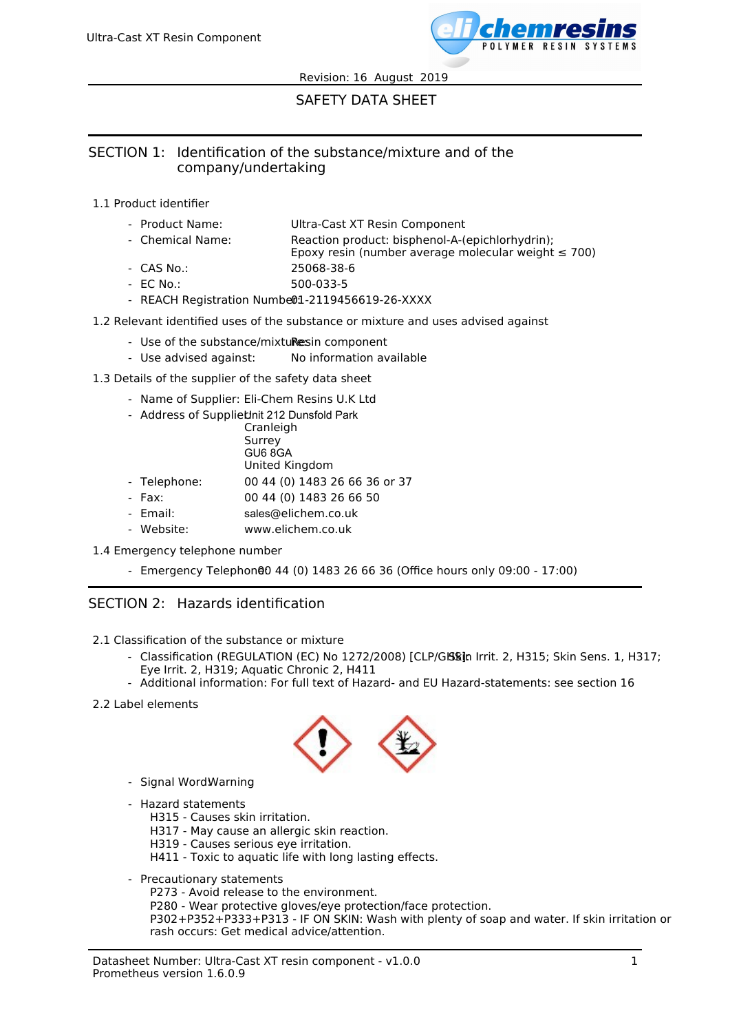

# SAFETY DATA SHEET

## SECTION 1: Identification of the substance/mixture and of the company/undertaking

- 1.1 Product identifier
	- Product Name: Ultra-Cast XT Resin Component
	- Chemical Name: Reaction product: bisphenol-A-(epichlorhydrin);
		- Epoxy resin (number average molecular weight  $\leq 700$ )
	- CAS No.: 25068-38-6
	- EC No.: 500-033-5
	- REACH Registration Numbe01-2119456619-26-XXXX
- 1.2 Relevant identified uses of the substance or mixture and uses advised against
	- Use of the substance/mixturesin component
	- Use advised against: No information available
- 1.3 Details of the supplier of the safety data sheet
	- Name of Supplier: Eli-Chem Resins U.K Ltd
	- Address of Suppliet unit 212 Dunsfold Park - Telephone: Cranleigh Surrey GU6 8GA United Kingdom 00 44 (0) 1483 26 66 36 or 37
	- Fax: 00 44 (0) 1483 26 66 50
	- Email: sales@elichem.co.uk
	- Website: www.elichem.co.uk
- 1.4 Emergency telephone number
	- Emergency Telephon00 44 (0) 1483 26 66 36 (Office hours only 09:00 17:00)

### SECTION 2: Hazards identification

- 2.1 Classification of the substance or mixture
	- Classification (REGULATION (EC) No 1272/2008) [CLP/GB&jn Irrit. 2, H315; Skin Sens. 1, H317; Eye Irrit. 2, H319; Aquatic Chronic 2, H411
	- Additional information: For full text of Hazard- and EU Hazard-statements: see section 16
- 2.2 Label elements



- Signal Word:Warning
- Hazard statements
	- H315 Causes skin irritation.
	- H317 May cause an allergic skin reaction.
	- H319 Causes serious eye irritation.
	- H411 Toxic to aquatic life with long lasting effects.
- Precautionary statements
	- P273 Avoid release to the environment.
	- P280 Wear protective gloves/eye protection/face protection.

P302+P352+P333+P313 - IF ON SKIN: Wash with plenty of soap and water. If skin irritation or rash occurs: Get medical advice/attention.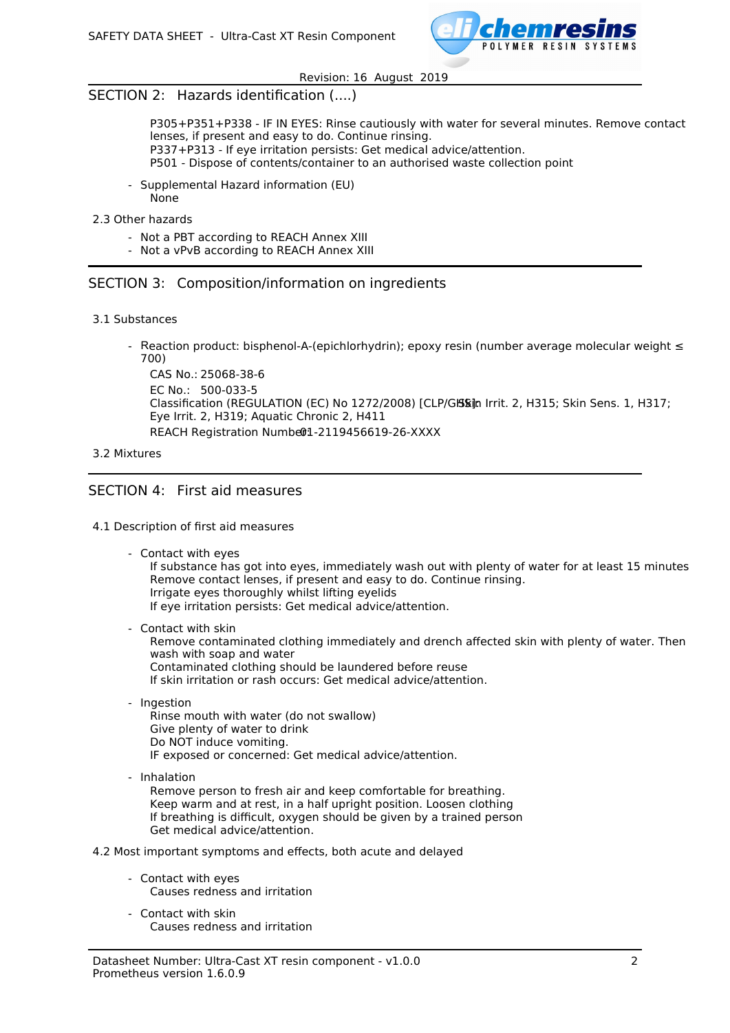

## SECTION 2: Hazards identification (....)

P305+P351+P338 - IF IN EYES: Rinse cautiously with water for several minutes. Remove contact lenses, if present and easy to do. Continue rinsing. P337+P313 - If eye irritation persists: Get medical advice/attention. P501 - Dispose of contents/container to an authorised waste collection point

- Supplemental Hazard information (EU) None
- 2.3 Other hazards
	- Not a PBT according to REACH Annex XIII
	- Not a vPvB according to REACH Annex XIII

### SECTION 3: Composition/information on ingredients

- 3.1 Substances
	- Reaction product: bisphenol-A-(epichlorhydrin); epoxy resin (number average molecular weight ≤ 700)

CAS No.: 25068-38-6 EC No.: 500-033-5 Classification (REGULATION (EC) No 1272/2008) [CLP/Glasin Irrit. 2, H315; Skin Sens. 1, H317; Eye Irrit. 2, H319; Aquatic Chronic 2, H411 REACH Registration Number1-2119456619-26-XXXX

#### 3.2 Mixtures

### SECTION 4: First aid measures

#### 4.1 Description of first aid measures

- Contact with eyes

If substance has got into eyes, immediately wash out with plenty of water for at least 15 minutes Remove contact lenses, if present and easy to do. Continue rinsing. Irrigate eyes thoroughly whilst lifting eyelids If eye irritation persists: Get medical advice/attention.

- Contact with skin

Remove contaminated clothing immediately and drench affected skin with plenty of water. Then wash with soap and water Contaminated clothing should be laundered before reuse If skin irritation or rash occurs: Get medical advice/attention.

- Ingestion

Rinse mouth with water (do not swallow) Give plenty of water to drink Do NOT induce vomiting. IF exposed or concerned: Get medical advice/attention.

- Inhalation

Remove person to fresh air and keep comfortable for breathing. Keep warm and at rest, in a half upright position. Loosen clothing If breathing is difficult, oxygen should be given by a trained person Get medical advice/attention.

4.2 Most important symptoms and effects, both acute and delayed

- Contact with eyes Causes redness and irritation
- Contact with skin Causes redness and irritation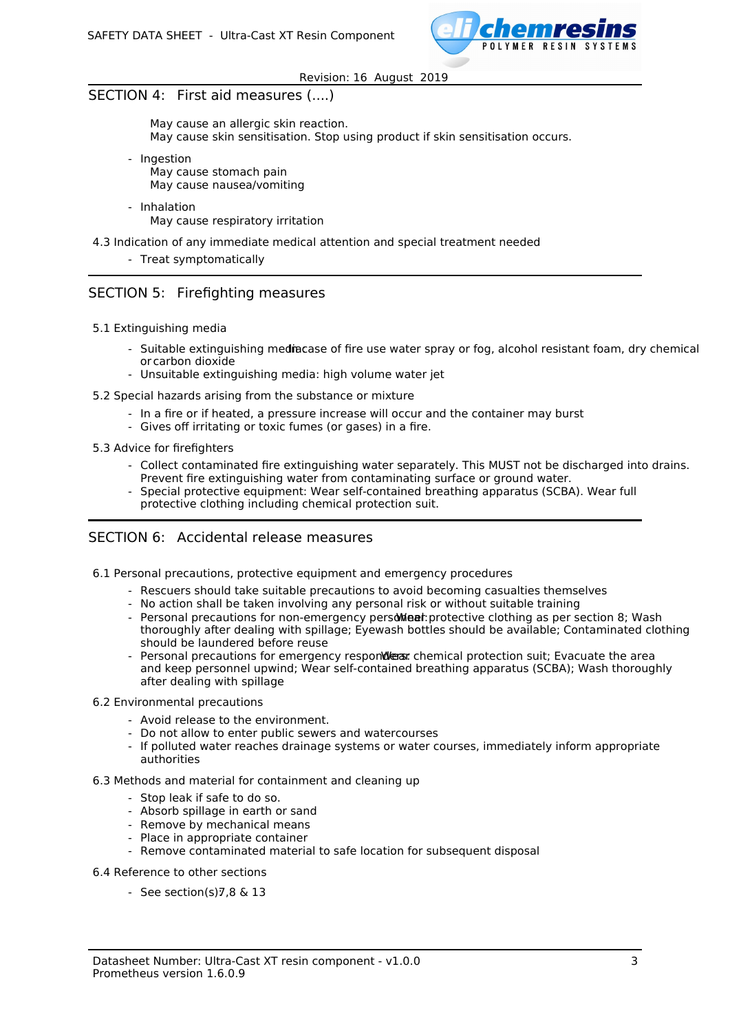

# SECTION 4: First aid measures (....)

May cause an allergic skin reaction. May cause skin sensitisation. Stop using product if skin sensitisation occurs.

- Ingestion May cause stomach pain May cause nausea/vomiting
- Inhalation May cause respiratory irritation
- 4.3 Indication of any immediate medical attention and special treatment needed
	- Treat symptomatically

## SECTION 5: Firefighting measures

- 5.1 Extinguishing media
	- Suitable extinguishing mediacase of fire use water spray or fog, alcohol resistant foam, dry chemical or carbon dioxide
	- Unsuitable extinguishing media: high volume water jet
- 5.2 Special hazards arising from the substance or mixture
	- In a fire or if heated, a pressure increase will occur and the container may burst
	- Gives off irritating or toxic fumes (or gases) in a fire.
- 5.3 Advice for firefighters
	- Collect contaminated fire extinguishing water separately. This MUST not be discharged into drains. Prevent fire extinguishing water from contaminating surface or ground water.
	- Special protective equipment: Wear self-contained breathing apparatus (SCBA). Wear full protective clothing including chemical protection suit.

## SECTION 6: Accidental release measures

6.1 Personal precautions, protective equipment and emergency procedures

- Rescuers should take suitable precautions to avoid becoming casualties themselves
- No action shall be taken involving any personal risk or without suitable training
- Personal precautions for non-emergency persomination protective clothing as per section 8; Wash thoroughly after dealing with spillage; Eyewash bottles should be available; Contaminated clothing should be laundered before reuse
- Personal precautions for emergency respondles: chemical protection suit; Evacuate the area and keep personnel upwind; Wear self-contained breathing apparatus (SCBA); Wash thoroughly after dealing with spillage
- 6.2 Environmental precautions
	- Avoid release to the environment.
	- Do not allow to enter public sewers and watercourses
	- If polluted water reaches drainage systems or water courses, immediately inform appropriate authorities
- 6.3 Methods and material for containment and cleaning up
	- Stop leak if safe to do so.
	- Absorb spillage in earth or sand
	- Remove by mechanical means
	- Place in appropriate container
	- Remove contaminated material to safe location for subsequent disposal
- 6.4 Reference to other sections
	- See section(s) $7,8 \& 13$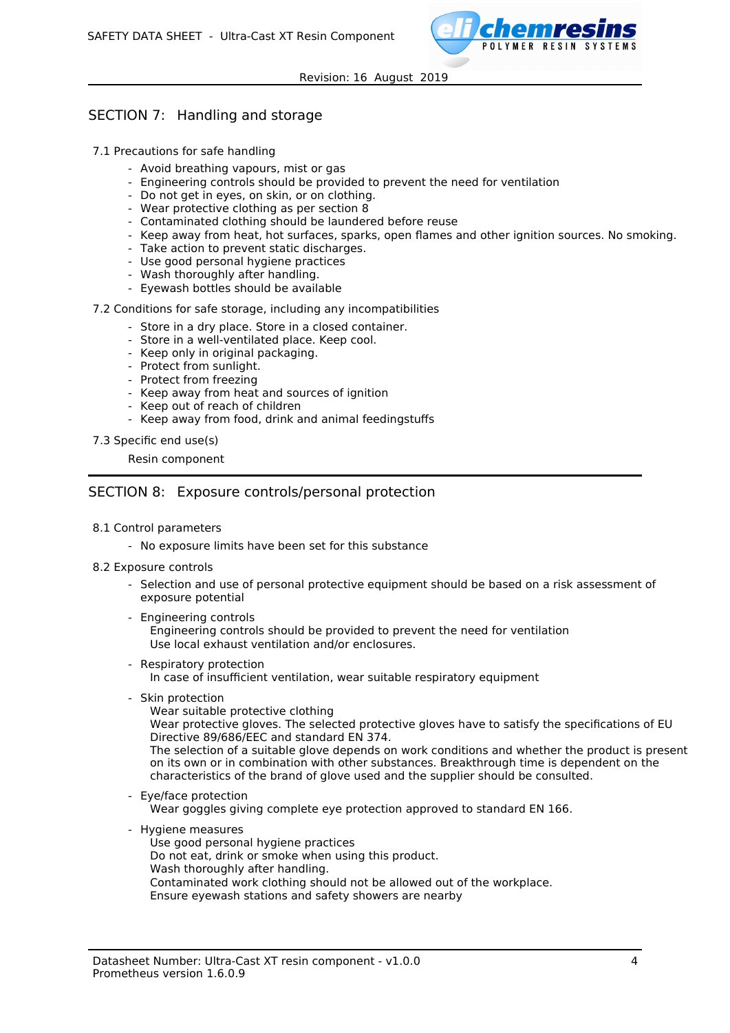

# SECTION 7: Handling and storage

- 7.1 Precautions for safe handling
	- Avoid breathing vapours, mist or gas
	- Engineering controls should be provided to prevent the need for ventilation
	- Do not get in eyes, on skin, or on clothing.
	- Wear protective clothing as per section 8
	- Contaminated clothing should be laundered before reuse
	- Keep away from heat, hot surfaces, sparks, open flames and other ignition sources. No smoking.
	- Take action to prevent static discharges.
	- Use good personal hygiene practices
	- Wash thoroughly after handling.
	- Eyewash bottles should be available

#### 7.2 Conditions for safe storage, including any incompatibilities

- Store in a dry place. Store in a closed container.
- Store in a well-ventilated place. Keep cool.
- Keep only in original packaging.
- Protect from sunlight.
- Protect from freezing
- Keep away from heat and sources of ignition
- Keep out of reach of children
- Keep away from food, drink and animal feedingstuffs
- 7.3 Specific end use(s)

#### Resin component

### SECTION 8: Exposure controls/personal protection

- 8.1 Control parameters
	- No exposure limits have been set for this substance
- 8.2 Exposure controls
	- Selection and use of personal protective equipment should be based on a risk assessment of exposure potential
	- Engineering controls

Engineering controls should be provided to prevent the need for ventilation Use local exhaust ventilation and/or enclosures.

- Respiratory protection

In case of insufficient ventilation, wear suitable respiratory equipment

- Skin protection

Wear suitable protective clothing Wear protective gloves. The selected protective gloves have to satisfy the specifications of EU Directive 89/686/EEC and standard EN 374.

The selection of a suitable glove depends on work conditions and whether the product is present on its own or in combination with other substances. Breakthrough time is dependent on the characteristics of the brand of glove used and the supplier should be consulted.

- Eye/face protection

Wear goggles giving complete eye protection approved to standard EN 166.

- Hygiene measures
	- Use good personal hygiene practices
	- Do not eat, drink or smoke when using this product.
	- Wash thoroughly after handling.
	- Contaminated work clothing should not be allowed out of the workplace.
	- Ensure eyewash stations and safety showers are nearby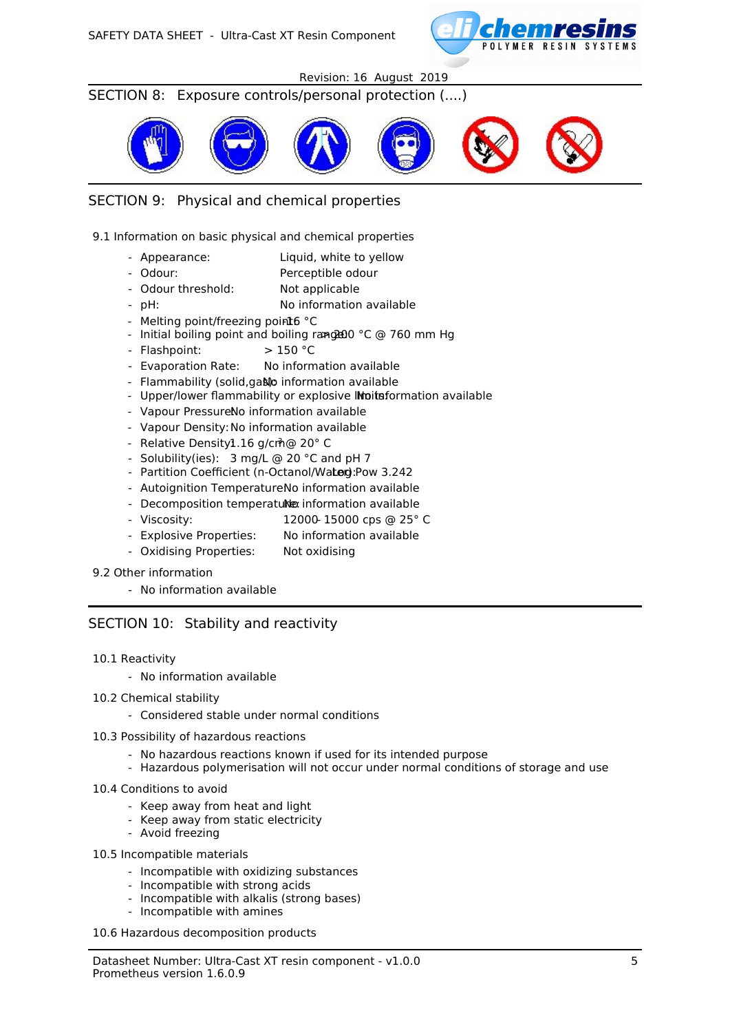

## SECTION 8: Exposure controls/personal protection (....)



## SECTION 9: Physical and chemical properties

9.1 Information on basic physical and chemical properties

- Appearance: Liquid, white to yellow
- Odour: Perceptible odour
- Odour threshold: Not applicable
- pH: No information available
- Melting point/freezing point6 °C
- Initial boiling point and boiling range:  $0^{\circ}$ C @ 760 mm Hg
- Flashpoint: > 150 °C
- Evaporation Rate: No information available
- Flammability (solid, gaso information available
- Upper/lower flammability or explosive Initiation available
- Vapour PressureNo information available
- Vapour Density: No information available
- Relative Density1.16 g/cm<sup>3</sup> @ 20° C
- Solubility(ies): 3 mg/L @ 20 °C and pH 7
- Partition Coefficient (n-Octanol/Water): Pow 3.242
- Autoignition TemperatureNo information available
- Decomposition temperatulle information available
- Viscosity: 12000- 15000 cps @ 25° C
- Explosive Properties: No information available
- Oxidising Properties: Not oxidising
- 9.2 Other information
	- No information available

### SECTION 10: Stability and reactivity

#### 10.1 Reactivity

- No information available
- 10.2 Chemical stability
	- Considered stable under normal conditions
- 10.3 Possibility of hazardous reactions
	- No hazardous reactions known if used for its intended purpose
	- Hazardous polymerisation will not occur under normal conditions of storage and use
- 10.4 Conditions to avoid
	- Keep away from heat and light
	- Keep away from static electricity
	- Avoid freezing
- 10.5 Incompatible materials
	- Incompatible with oxidizing substances
	- Incompatible with strong acids
	- Incompatible with alkalis (strong bases)
	- Incompatible with amines

#### 10.6 Hazardous decomposition products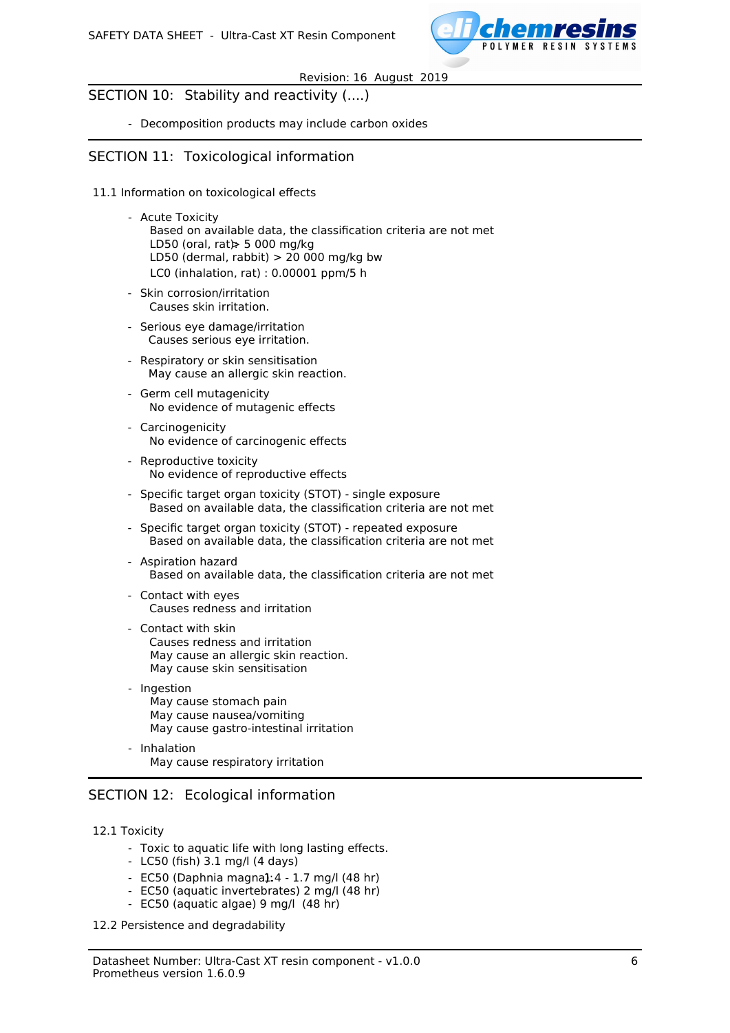

## SECTION 10: Stability and reactivity (....)

- Decomposition products may include carbon oxides

## SECTION 11: Toxicological information

- 11.1 Information on toxicological effects
	- Acute Toxicity
		- Based on available data, the classification criteria are not met LD50 (oral, rat)  $\ge$  5 000 mg/kg LD50 (dermal, rabbit)  $> 20000$  mg/kg bw LC0 (inhalation, rat) : 0.00001 ppm/5 h
	- Skin corrosion/irritation Causes skin irritation.
	- Serious eye damage/irritation Causes serious eye irritation.
	- Respiratory or skin sensitisation May cause an allergic skin reaction.
	- Germ cell mutagenicity No evidence of mutagenic effects
	- Carcinogenicity No evidence of carcinogenic effects
	- Reproductive toxicity No evidence of reproductive effects
	- Specific target organ toxicity (STOT) single exposure Based on available data, the classification criteria are not met
	- Specific target organ toxicity (STOT) repeated exposure Based on available data, the classification criteria are not met
	- Aspiration hazard Based on available data, the classification criteria are not met
	- Contact with eyes Causes redness and irritation
	- Contact with skin Causes redness and irritation May cause an allergic skin reaction. May cause skin sensitisation
	- Ingestion May cause stomach pain May cause nausea/vomiting May cause gastro-intestinal irritation
	- Inhalation May cause respiratory irritation

## SECTION 12: Ecological information

### 12.1 Toxicity

- Toxic to aquatic life with long lasting effects.
- LC50 (fish) 3.1 mg/l (4 days)
- $-$  EC50 (Daphnia magna1:4 1.7 mg/l (48 hr)
- EC50 (aquatic invertebrates) 2 mg/l (48 hr)
- EC50 (aquatic algae) 9 mg/l (48 hr)

12.2 Persistence and degradability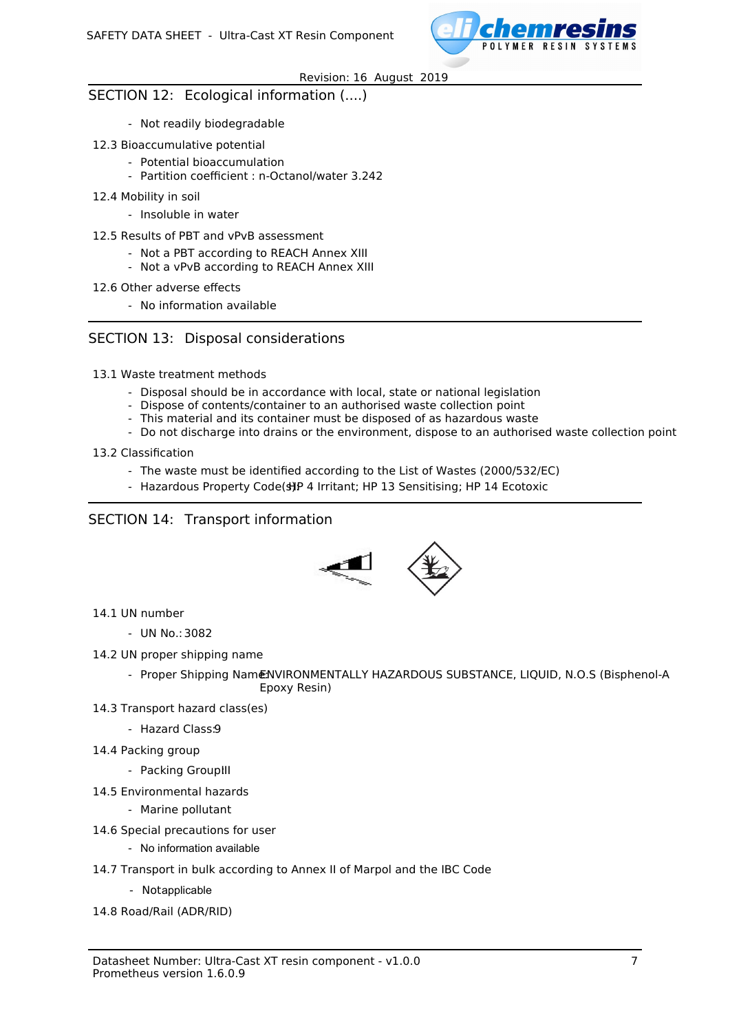

## SECTION 12: Ecological information (....)

- Not readily biodegradable
- 12.3 Bioaccumulative potential
	- Potential bioaccumulation
	- Partition coefficient : n-Octanol/water 3.242
- 12.4 Mobility in soil
	- Insoluble in water
- 12.5 Results of PBT and vPvB assessment
	- Not a PBT according to REACH Annex XIII
	- Not a vPvB according to REACH Annex XIII

### 12.6 Other adverse effects

- No information available

## SECTION 13: Disposal considerations

### 13.1 Waste treatment methods

- Disposal should be in accordance with local, state or national legislation
- Dispose of contents/container to an authorised waste collection point
- This material and its container must be disposed of as hazardous waste
- Do not discharge into drains or the environment, dispose to an authorised waste collection point

### 13.2 Classification

- The waste must be identified according to the List of Wastes (2000/532/EC)
- Hazardous Property Code(s)P 4 Irritant; HP 13 Sensitising; HP 14 Ecotoxic

## SECTION 14: Transport information



### 14.1 UN number

- UN No.:3082
- 14.2 UN proper shipping name
	- Proper Shipping NamENVIRONMENTALLY HAZARDOUS SUBSTANCE, LIQUID, N.O.S (Bisphenol-A Epoxy Resin)
- 14.3 Transport hazard class(es)
	- Hazard Class:9
- 14.4 Packing group
	- Packing Group!II
- 14.5 Environmental hazards
	- Marine pollutant
- 14.6 Special precautions for user
	- No information available
- 14.7 Transport in bulk according to Annex II of Marpol and the IBC Code
	- Notapplicable
- 14.8 Road/Rail (ADR/RID)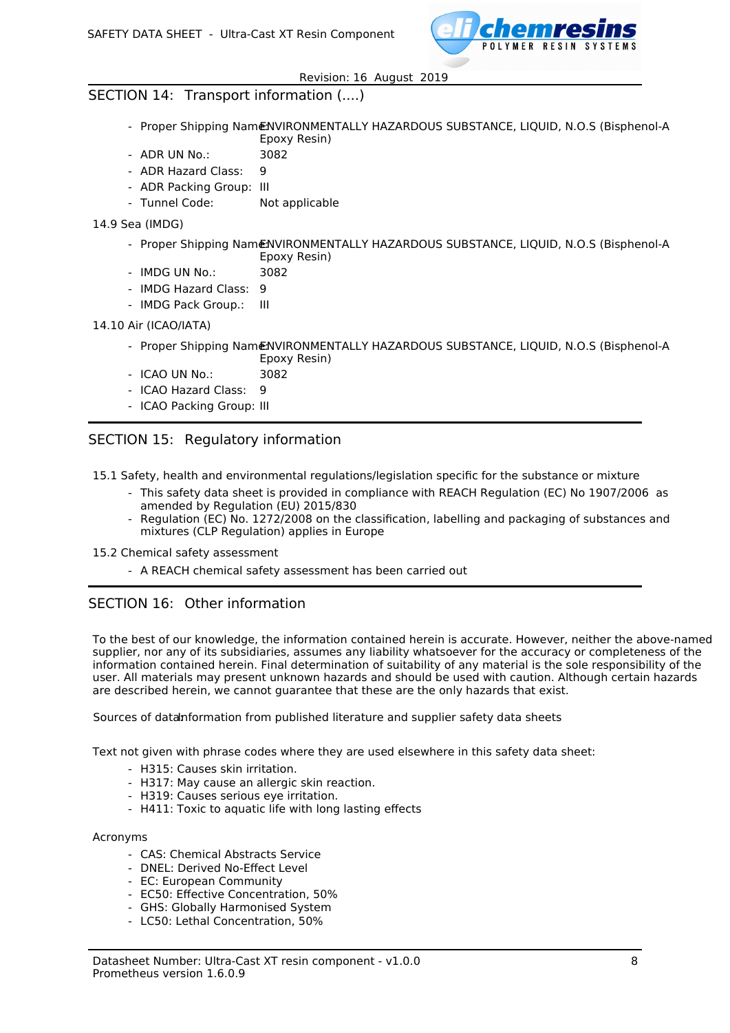

## SECTION 14: Transport information (....)

- Proper Shipping Nam€NVIRONMENTALLY HAZARDOUS SUBSTANCE, LIQUID, N.O.S (Bisphenol-A Epoxy Resin)
- ADR UN No.: 3082
- ADR Hazard Class: 9
- ADR Packing Group: III
- Tunnel Code: Not applicable
- 14.9 Sea (IMDG)
	- Proper Shipping Name:NVIRONMENTALLY HAZARDOUS SUBSTANCE, LIQUID, N.O.S (Bisphenol-A Epoxy Resin)
	- IMDG UN No.: 3082
	- IMDG Hazard Class: 9
	- IMDG Pack Group.: III

#### 14.10 Air (ICAO/IATA)

- Proper Shipping NamENVIRONMENTALLY HAZARDOUS SUBSTANCE, LIQUID, N.O.S (Bisphenol-A Epoxy Resin)
- ICAO UN No.: 3082
- ICAO Hazard Class: 9
- ICAO Packing Group: III

## SECTION 15: Regulatory information

15.1 Safety, health and environmental regulations/legislation specific for the substance or mixture

- This safety data sheet is provided in compliance with REACH Regulation (EC) No 1907/2006 as amended by Regulation (EU) 2015/830
- Regulation (EC) No. 1272/2008 on the classification, labelling and packaging of substances and mixtures (CLP Regulation) applies in Europe
- 15.2 Chemical safety assessment
	- A REACH chemical safety assessment has been carried out

### SECTION 16: Other information

To the best of our knowledge, the information contained herein is accurate. However, neither the above-named supplier, nor any of its subsidiaries, assumes any liability whatsoever for the accuracy or completeness of the information contained herein. Final determination of suitability of any material is the sole responsibility of the user. All materials may present unknown hazards and should be used with caution. Although certain hazards are described herein, we cannot guarantee that these are the only hazards that exist.

Sources of datanformation from published literature and supplier safety data sheets

Text not given with phrase codes where they are used elsewhere in this safety data sheet:

- H315: Causes skin irritation.
- H317: May cause an allergic skin reaction.
- H319: Causes serious eye irritation.
- H411: Toxic to aquatic life with long lasting effects

#### Acronyms

- CAS: Chemical Abstracts Service
- DNEL: Derived No-Effect Level
- EC: European Community
- EC50: Effective Concentration, 50%
- GHS: Globally Harmonised System
- LC50: Lethal Concentration, 50%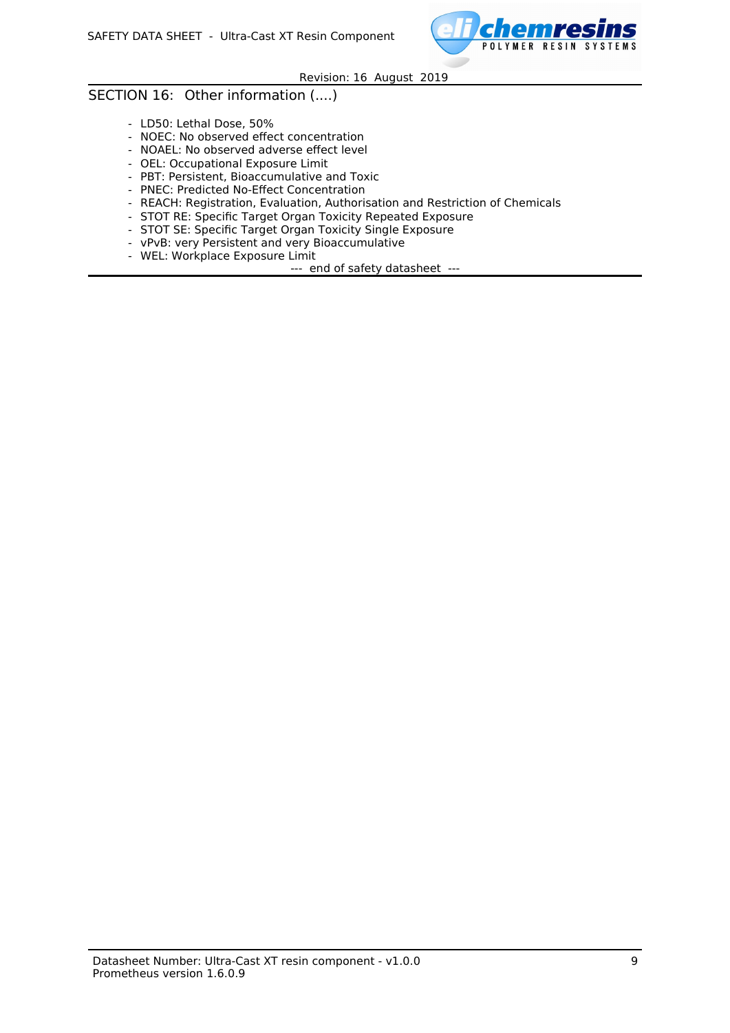

## SECTION 16: Other information (....)

- LD50: Lethal Dose, 50%
- NOEC: No observed effect concentration
- NOAEL: No observed adverse effect level
- OEL: Occupational Exposure Limit
- PBT: Persistent, Bioaccumulative and Toxic
- PNEC: Predicted No-Effect Concentration
- REACH: Registration, Evaluation, Authorisation and Restriction of Chemicals
- STOT RE: Specific Target Organ Toxicity Repeated Exposure
- STOT SE: Specific Target Organ Toxicity Single Exposure
- vPvB: very Persistent and very Bioaccumulative
- WEL: Workplace Exposure Limit
	- --- end of safety datasheet ---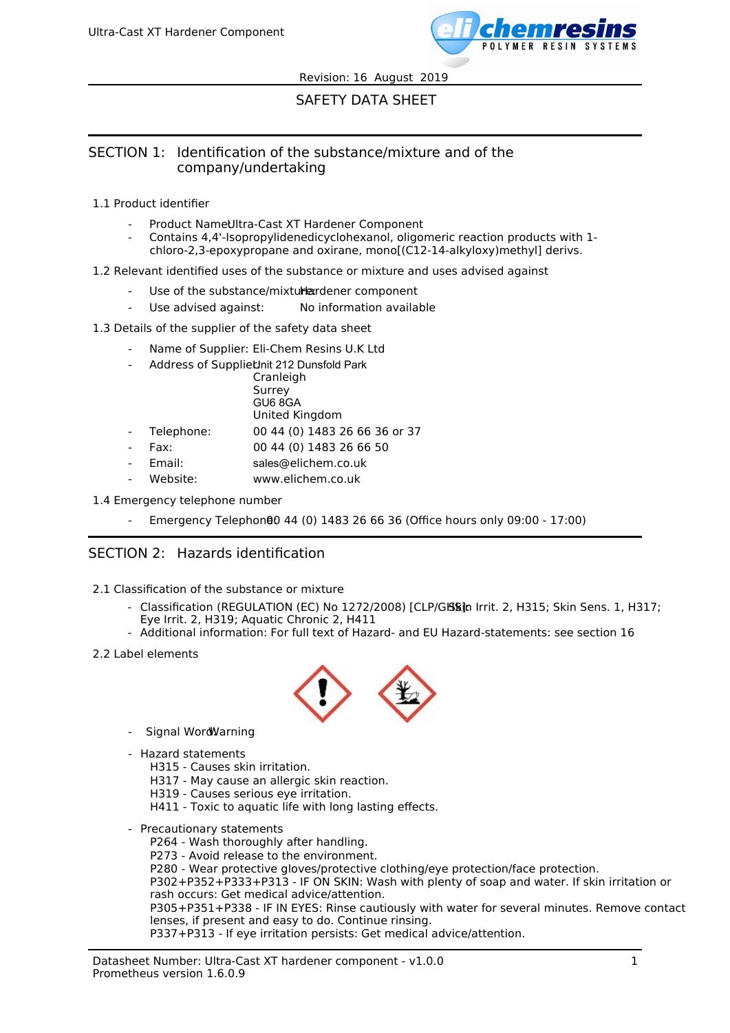

# SAFETY DATA SHEET

## SECTION 1: Identification of the substance/mixture and of the company/undertaking

- 1.1 Product identifier
	- Product NameUltra-Cast XT Hardener Component
	- Contains 4,4'-Isopropylidenedicyclohexanol, oligomeric reaction products with 1 chloro-2,3-epoxypropane and oxirane, mono[(C12-14-alkyloxy)methyl] derivs.
- 1.2 Relevant identified uses of the substance or mixture and uses advised against
	- Use of the substance/mixturexidener component
	- Use advised against: No information available
- 1.3 Details of the supplier of the safety data sheet
	- Name of Supplier: Eli-Chem Resins U.K Ltd
	- Address of Suppliet init 212 Dunsfold Park

|            | Cranleigh                     |
|------------|-------------------------------|
|            | Surrey                        |
|            | GU6 8GA                       |
|            | United Kingdom                |
| Telephone: | 00 44 (0) 1483 26 66 36 or 37 |
| Fax:       | 00 44 (0) 1483 26 66 50       |
|            |                               |

- $F<sub>2</sub>$
- Email: sales@elichem.co.uk
- Website: www.elichem.co.uk

### 1.4 Emergency telephone number

Emergency Telephone0 44 (0) 1483 26 66 36 (Office hours only 09:00 - 17:00)

## SECTION 2: Hazards identification

- 2.1 Classification of the substance or mixture
	- Classification (REGULATION (EC) No 1272/2008) [CLP/Glasin Irrit. 2, H315; Skin Sens. 1, H317; Eye Irrit. 2, H319; Aquatic Chronic 2, H411
	- Additional information: For full text of Hazard- and EU Hazard-statements: see section 16
- 2.2 Label elements



- Signal WordWarning
- Hazard statements
	- H315 Causes skin irritation.
	- H317 May cause an allergic skin reaction.
	- H319 Causes serious eye irritation.
	- H411 Toxic to aquatic life with long lasting effects.
- Precautionary statements
	- P264 Wash thoroughly after handling.
	- P273 Avoid release to the environment.
	- P280 Wear protective gloves/protective clothing/eye protection/face protection.

P302+P352+P333+P313 - IF ON SKIN: Wash with plenty of soap and water. If skin irritation or rash occurs: Get medical advice/attention.

P305+P351+P338 - IF IN EYES: Rinse cautiously with water for several minutes. Remove contact lenses, if present and easy to do. Continue rinsing.

P337+P313 - If eye irritation persists: Get medical advice/attention.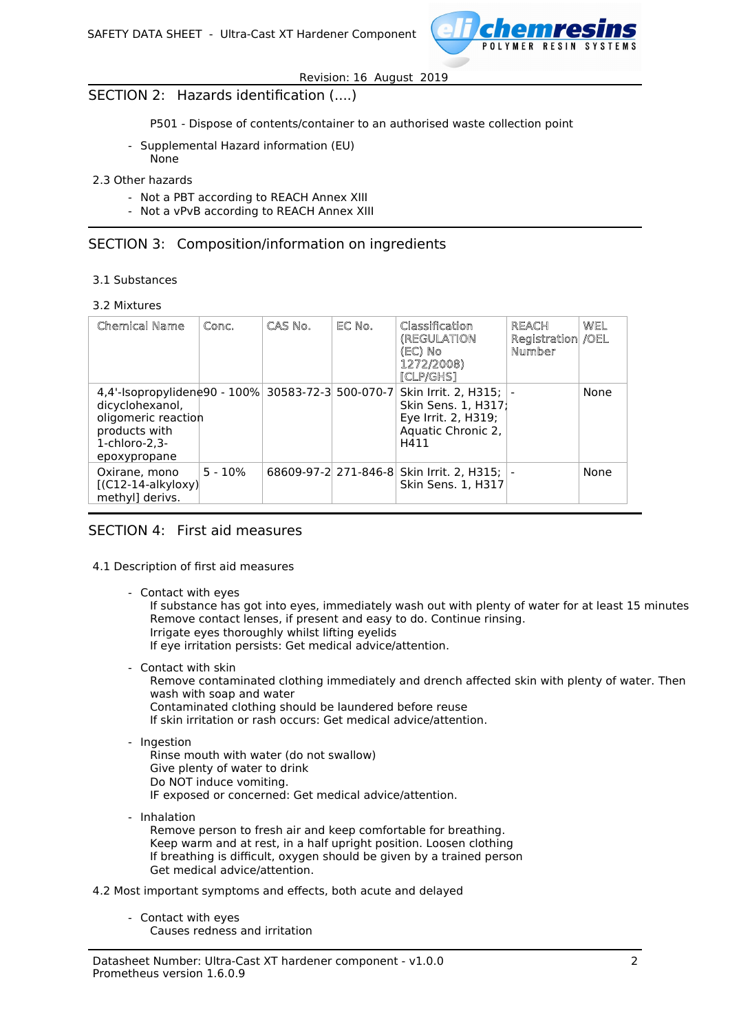

## SECTION 2: Hazards identification (....)

P501 - Dispose of contents/container to an authorised waste collection point

- Supplemental Hazard information (EU) None
- 2.3 Other hazards
	- Not a PBT according to REACH Annex XIII
	- Not a vPvB according to REACH Annex XIII

### SECTION 3: Composition/information on ingredients

- 3.1 Substances
- 3.2 Mixtures

| <b>Chemical Name</b>                                                                                                                             | Conc.     | CAS No. | EC No. | Classification<br>(REGULATION<br>(EC) No<br>1272/2008)<br>[CLP/GHS]                                 | <b>REACH</b><br>Registration /OEL<br>Number | WEL  |
|--------------------------------------------------------------------------------------------------------------------------------------------------|-----------|---------|--------|-----------------------------------------------------------------------------------------------------|---------------------------------------------|------|
| 4,4'-Isopropylidene90 - 100% 30583-72-3 500-070-7<br>dicyclohexanol,<br>oligomeric reaction<br>products with<br>$1$ -chloro-2,3-<br>epoxypropane |           |         |        | Skin Irrit. 2, H315;  -<br>Skin Sens. 1, H317;<br>Eye Irrit. 2, H319;<br>Aquatic Chronic 2,<br>H411 |                                             | None |
| Oxirane, mono<br>$[$ (C12-14-alkyloxy) $]$<br>methyl] derivs.                                                                                    | $5 - 10%$ |         |        | 68609-97-2 271-846-8 Skin Irrit. 2, H315;  -<br><b>Skin Sens. 1. H317</b>                           |                                             | None |

### SECTION 4: First aid measures

#### 4.1 Description of first aid measures

- Contact with eyes

If substance has got into eyes, immediately wash out with plenty of water for at least 15 minutes Remove contact lenses, if present and easy to do. Continue rinsing. Irrigate eyes thoroughly whilst lifting eyelids If eye irritation persists: Get medical advice/attention.

- Contact with skin

Remove contaminated clothing immediately and drench affected skin with plenty of water. Then wash with soap and water Contaminated clothing should be laundered before reuse

- If skin irritation or rash occurs: Get medical advice/attention.
- Ingestion
	- Rinse mouth with water (do not swallow) Give plenty of water to drink Do NOT induce vomiting. IF exposed or concerned: Get medical advice/attention.
- Inhalation Remove person to fresh air and keep comfortable for breathing. Keep warm and at rest, in a half upright position. Loosen clothing If breathing is difficult, oxygen should be given by a trained person Get medical advice/attention.
- 4.2 Most important symptoms and effects, both acute and delayed
	- Contact with eyes Causes redness and irritation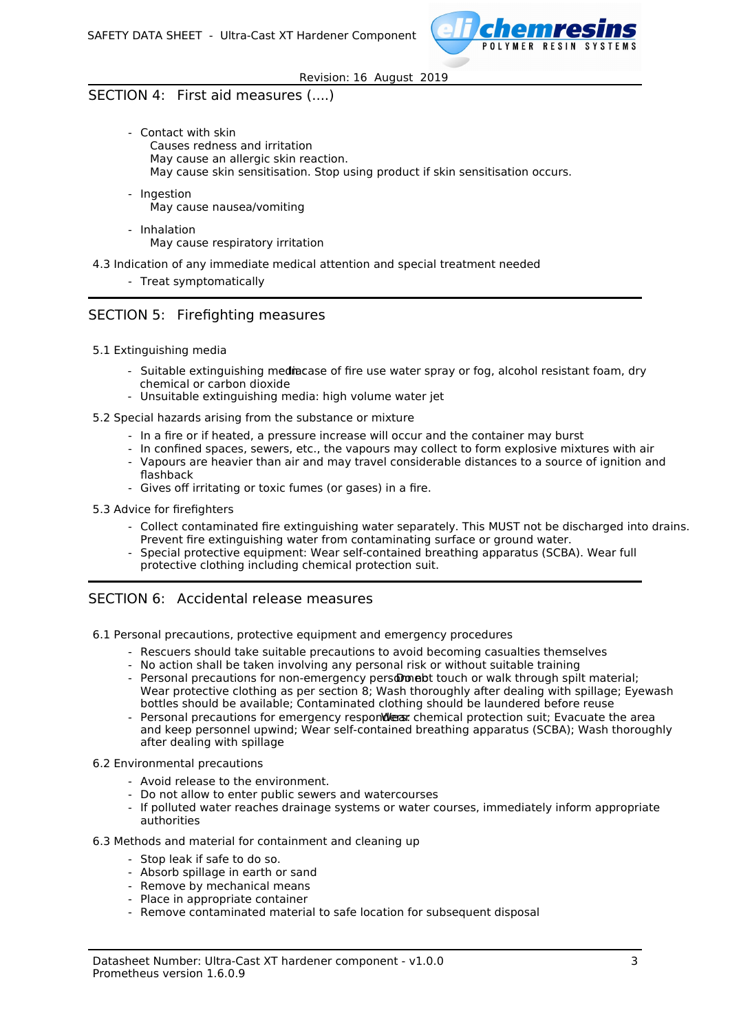

## SECTION 4: First aid measures (....)

- Contact with skin Causes redness and irritation May cause an allergic skin reaction. May cause skin sensitisation. Stop using product if skin sensitisation occurs.
- Ingestion May cause nausea/vomiting
- Inhalation May cause respiratory irritation
- 4.3 Indication of any immediate medical attention and special treatment needed
	- Treat symptomatically

## SECTION 5: Firefighting measures

- 5.1 Extinguishing media
	- Suitable extinguishing mediacase of fire use water spray or fog, alcohol resistant foam, dry chemical or carbon dioxide
	- Unsuitable extinguishing media: high volume water jet
- 5.2 Special hazards arising from the substance or mixture
	- In a fire or if heated, a pressure increase will occur and the container may burst
	- In confined spaces, sewers, etc., the vapours may collect to form explosive mixtures with air
	- Vapours are heavier than air and may travel considerable distances to a source of ignition and flashback
	- Gives off irritating or toxic fumes (or gases) in a fire.
- 5.3 Advice for firefighters
	- Collect contaminated fire extinguishing water separately. This MUST not be discharged into drains. Prevent fire extinguishing water from contaminating surface or ground water.
	- Special protective equipment: Wear self-contained breathing apparatus (SCBA). Wear full protective clothing including chemical protection suit.

## SECTION 6: Accidental release measures

- 6.1 Personal precautions, protective equipment and emergency procedures
	- Rescuers should take suitable precautions to avoid becoming casualties themselves
	- No action shall be taken involving any personal risk or without suitable training
	- Personal precautions for non-emergency persologiet touch or walk through spilt material; Wear protective clothing as per section 8; Wash thoroughly after dealing with spillage; Eyewash bottles should be available; Contaminated clothing should be laundered before reuse
	- Personal precautions for emergency respondlers: chemical protection suit; Evacuate the area and keep personnel upwind; Wear self-contained breathing apparatus (SCBA); Wash thoroughly after dealing with spillage
- 6.2 Environmental precautions
	- Avoid release to the environment.
	- Do not allow to enter public sewers and watercourses
	- If polluted water reaches drainage systems or water courses, immediately inform appropriate authorities
- 6.3 Methods and material for containment and cleaning up
	- Stop leak if safe to do so.
	- Absorb spillage in earth or sand
	- Remove by mechanical means
	- Place in appropriate container
	- Remove contaminated material to safe location for subsequent disposal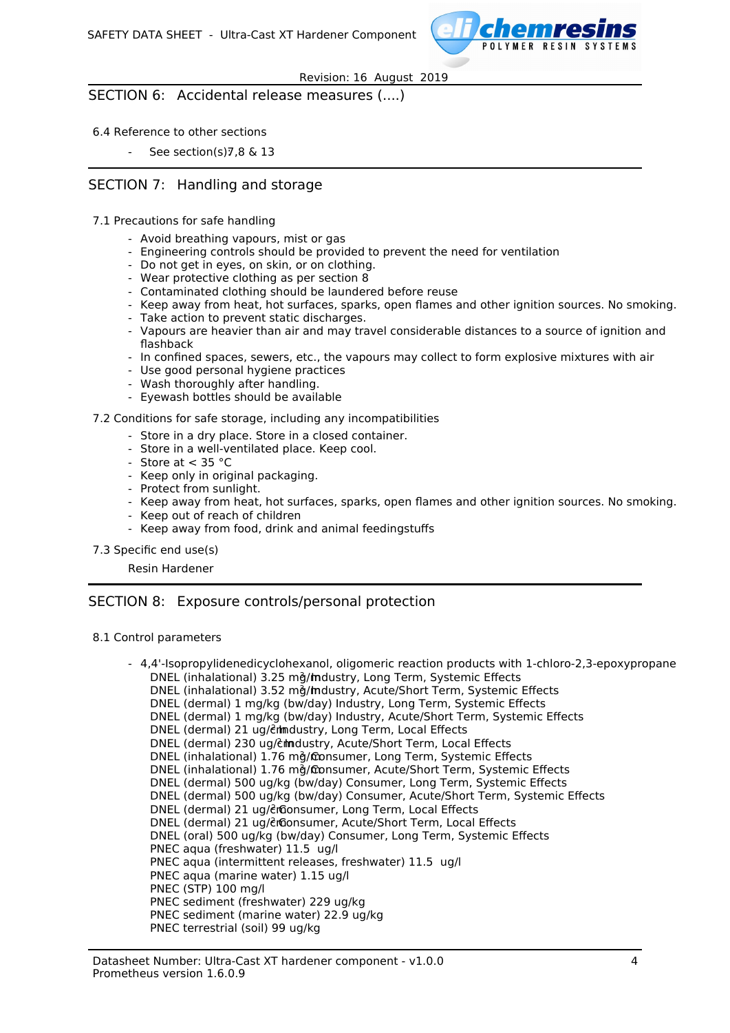

SECTION 6: Accidental release measures (....)

#### 6.4 Reference to other sections

See section(s) $7,8 \& 13$ 

## SECTION 7: Handling and storage

- 7.1 Precautions for safe handling
	- Avoid breathing vapours, mist or gas
	- Engineering controls should be provided to prevent the need for ventilation
	- Do not get in eyes, on skin, or on clothing.
	- Wear protective clothing as per section 8
	- Contaminated clothing should be laundered before reuse
	- Keep away from heat, hot surfaces, sparks, open flames and other ignition sources. No smoking.
	- Take action to prevent static discharges.
	- Vapours are heavier than air and may travel considerable distances to a source of ignition and flashback
	- In confined spaces, sewers, etc., the vapours may collect to form explosive mixtures with air
	- Use good personal hygiene practices
	- Wash thoroughly after handling.
	- Eyewash bottles should be available

#### 7.2 Conditions for safe storage, including any incompatibilities

- Store in a dry place. Store in a closed container.
- Store in a well-ventilated place. Keep cool.
- Store at  $<$  35 °C
- Keep only in original packaging.
- Protect from sunlight.
- Keep away from heat, hot surfaces, sparks, open flames and other ignition sources. No smoking.
- Keep out of reach of children
- Keep away from food, drink and animal feedingstuffs
- 7.3 Specific end use(s)

Resin Hardener

### SECTION 8: Exposure controls/personal protection

#### 8.1 Control parameters

- 4,4'-Isopropylidenedicyclohexanol, oligomeric reaction products with 1-chloro-2,3-epoxypropane DNEL (inhalational) 3.25 mg/mdustry, Long Term, Systemic Effects DNEL (inhalational) 3.52 mg/mdustry, Acute/Short Term, Systemic Effects DNEL (dermal) 1 mg/kg (bw/day) Industry, Long Term, Systemic Effects DNEL (dermal) 1 mg/kg (bw/day) Industry, Acute/Short Term, Systemic Effects DNEL (dermal) 21 ug/enmdustry, Long Term, Local Effects DNEL (dermal) 230 ug/cmdustry, Acute/Short Term, Local Effects DNEL (inhalational) 1.76 mg/consumer, Long Term, Systemic Effects DNEL (inhalational) 1.76 mg/fconsumer, Acute/Short Term, Systemic Effects DNEL (dermal) 500 ug/kg (bw/day) Consumer, Long Term, Systemic Effects DNEL (dermal) 500 ug/kg (bw/day) Consumer, Acute/Short Term, Systemic Effects DNEL (dermal) 21 ug/er Gonsumer, Long Term, Local Effects DNEL (dermal) 21 ug/erconsumer, Acute/Short Term, Local Effects DNEL (oral) 500 ug/kg (bw/day) Consumer, Long Term, Systemic Effects PNEC aqua (freshwater) 11.5 ug/l PNEC aqua (intermittent releases, freshwater) 11.5 ug/l PNEC aqua (marine water) 1.15 ug/l PNEC (STP) 100 mg/l PNEC sediment (freshwater) 229 ug/kg PNEC sediment (marine water) 22.9 ug/kg PNEC terrestrial (soil) 99 ug/kg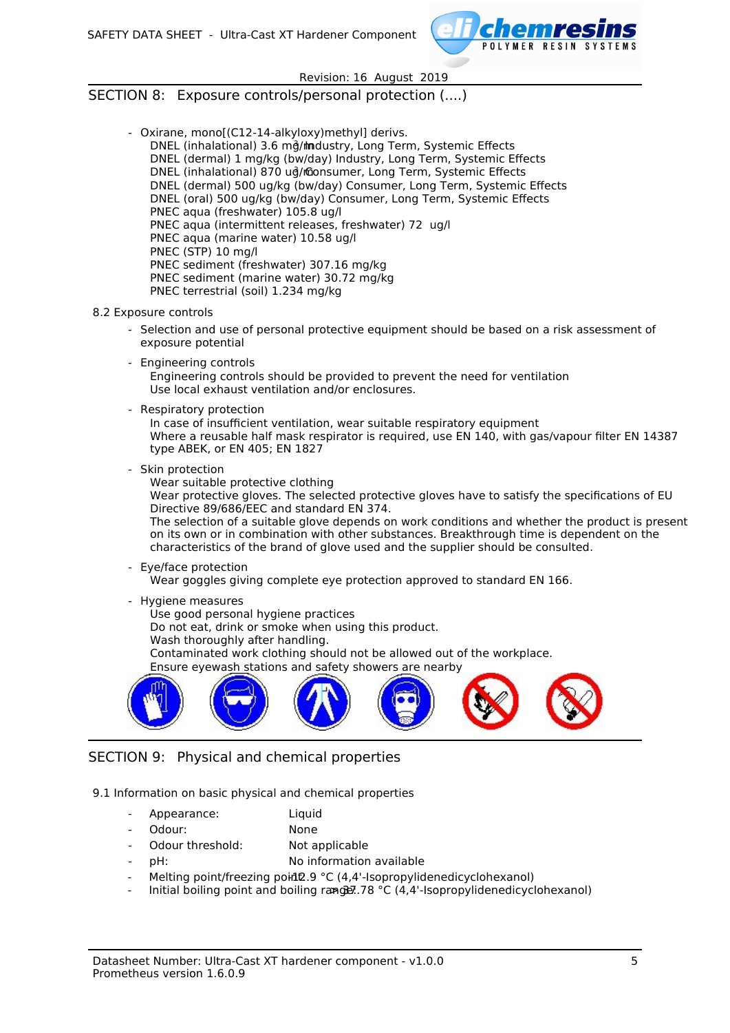

### SECTION 8: Exposure controls/personal protection (....)

- Oxirane, mono[(C12-14-alkyloxy)methyl] derivs.
	- DNEL (inhalational) 3.6 mg/mndustry, Long Term, Systemic Effects DNEL (dermal) 1 mg/kg (bw/day) Industry, Long Term, Systemic Effects DNEL (inhalational) 870 ud/monsumer, Long Term, Systemic Effects DNEL (dermal) 500 ug/kg (bw/day) Consumer, Long Term, Systemic Effects DNEL (oral) 500 ug/kg (bw/day) Consumer, Long Term, Systemic Effects PNEC aqua (freshwater) 105.8 ug/l PNEC aqua (intermittent releases, freshwater) 72 ug/l PNEC aqua (marine water) 10.58 ug/l PNEC (STP) 10 mg/l PNEC sediment (freshwater) 307.16 mg/kg PNEC sediment (marine water) 30.72 mg/kg PNEC terrestrial (soil) 1.234 mg/kg
- 8.2 Exposure controls
	- Selection and use of personal protective equipment should be based on a risk assessment of exposure potential
	- Engineering controls Engineering controls should be provided to prevent the need for ventilation Use local exhaust ventilation and/or enclosures.
	- Respiratory protection

In case of insufficient ventilation, wear suitable respiratory equipment Where a reusable half mask respirator is required, use EN 140, with gas/vapour filter EN 14387 type ABEK, or EN 405; EN 1827

- Skin protection

Wear suitable protective clothing

Wear protective gloves. The selected protective gloves have to satisfy the specifications of EU Directive 89/686/EEC and standard EN 374.

The selection of a suitable glove depends on work conditions and whether the product is present on its own or in combination with other substances. Breakthrough time is dependent on the characteristics of the brand of glove used and the supplier should be consulted.

- Eye/face protection

Wear goggles giving complete eye protection approved to standard EN 166.

- Hygiene measures
	- Use good personal hygiene practices
	- Do not eat, drink or smoke when using this product.
	- Wash thoroughly after handling.

Contaminated work clothing should not be allowed out of the workplace.

Ensure eyewash stations and safety showers are nearby



# SECTION 9: Physical and chemical properties

9.1 Information on basic physical and chemical properties

- Appearance: Liquid
- Odour: None
- Odour threshold: Not applicable
- pH: pH: no information available
- Melting point/freezing point 2.9 °C (4,4'-Isopropylidenedicyclohexanol)
- Initial boiling point and boiling range:  $78 °C$  (4,4'-Isopropylidenedicyclohexanol)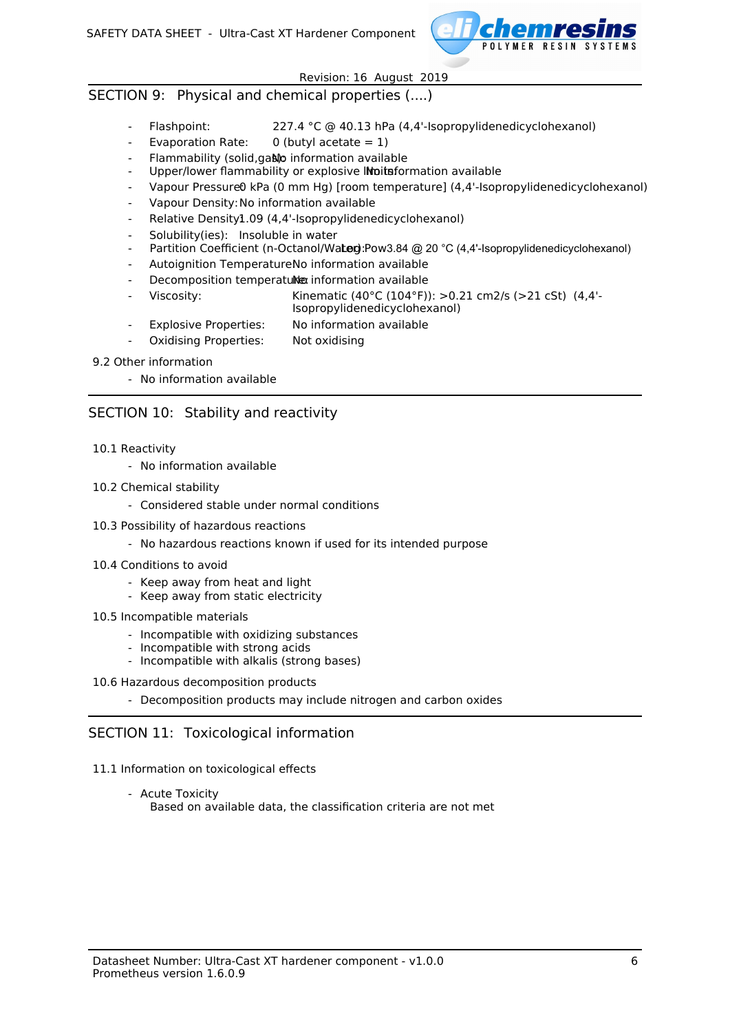

### SECTION 9: Physical and chemical properties (....)

- Flashpoint: 227.4 °C @ 40.13 hPa (4,4'-Isopropylidenedicyclohexanol)
- Evaporation Rate:  $0$  (butyl acetate = 1)
- Flammability (solid,gas)o information available
- Upper/lower flammability or explosive Initiation available
- Vapour Pressure0 kPa (0 mm Hg) [room temperature] (4,4'-Isopropylidenedicyclohexanol)
- Vapour Density: No information available
- Relative Density1.09 (4,4'-Isopropylidenedicyclohexanol)
- Solubility(ies): Insoluble in water
- Partition Coefficient (n-Octanol/Water): Pow3.84 @ 20 °C (4,4'-Isopropylidenedicyclohexanol)
- Autoignition TemperatureNo information available
- Decomposition temperatulle information available
- Viscosity: Kinematic (40°C (104°F)):  $>0.21$  cm2/s ( $>21$  cSt) (4.4'-Isopropylidenedicyclohexanol)
- Explosive Properties: No information available
- Oxidising Properties: Not oxidising
- 9.2 Other information
	- No information available

## SECTION 10: Stability and reactivity

- 10.1 Reactivity
	- No information available
- 10.2 Chemical stability
	- Considered stable under normal conditions
- 10.3 Possibility of hazardous reactions
	- No hazardous reactions known if used for its intended purpose
- 10.4 Conditions to avoid
	- Keep away from heat and light
	- Keep away from static electricity
- 10.5 Incompatible materials
	- Incompatible with oxidizing substances
	- Incompatible with strong acids
	- Incompatible with alkalis (strong bases)
- 10.6 Hazardous decomposition products
	- Decomposition products may include nitrogen and carbon oxides

## SECTION 11: Toxicological information

- 11.1 Information on toxicological effects
	- Acute Toxicity Based on available data, the classification criteria are not met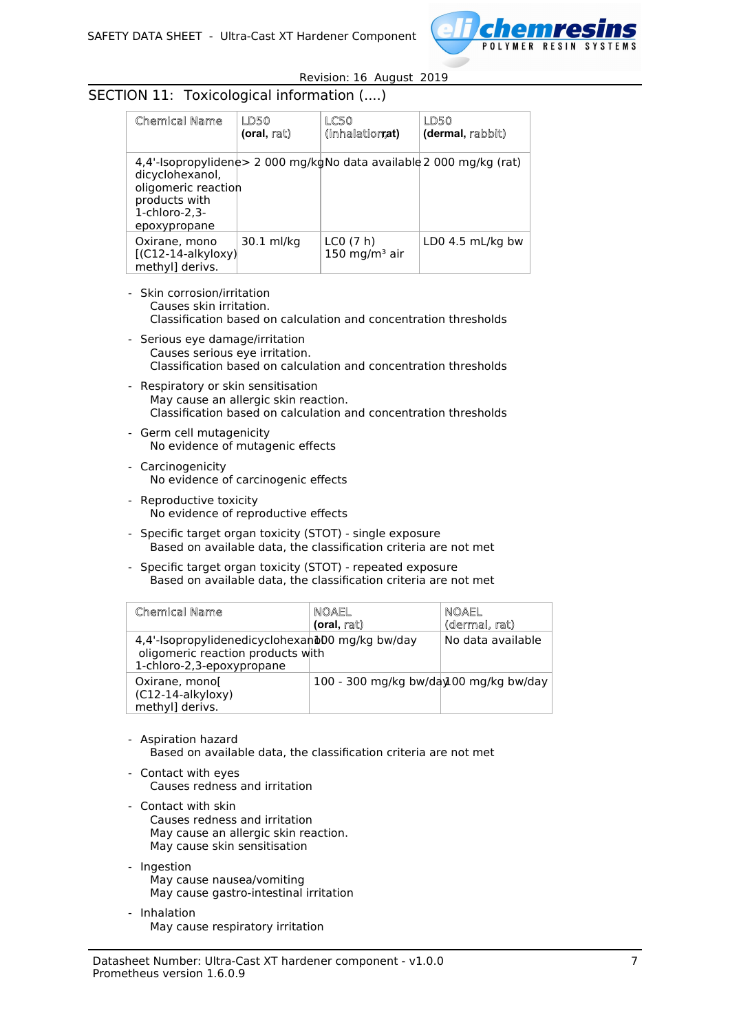

# SECTION 11: Toxicological information (....)

| Chemical Name                                                                               | LD50<br>(oral, rat) | LC50<br>(inhalationat)         | LD50<br>(dermal, rabbit)                                            |
|---------------------------------------------------------------------------------------------|---------------------|--------------------------------|---------------------------------------------------------------------|
| dicyclohexanol,<br>oligomeric reaction<br>products with<br>$1$ -chloro-2.3-<br>epoxypropane |                     |                                | 4,4'-Isopropylidene> 2 000 mg/kgNo data available 2 000 mg/kg (rat) |
| Oxirane, mono<br>$[(C12-14-alkyloxy)]$<br>methyl] derivs.                                   | 30.1 ml/kg          | LCO(7 h)<br>$150 \; mg/m3$ air | LD0 4.5 $mL/kg$ bw                                                  |

- Skin corrosion/irritation Causes skin irritation. Classification based on calculation and concentration thresholds
- Serious eye damage/irritation Causes serious eye irritation. Classification based on calculation and concentration thresholds
- Respiratory or skin sensitisation May cause an allergic skin reaction. Classification based on calculation and concentration thresholds
- Germ cell mutagenicity No evidence of mutagenic effects
- Carcinogenicity No evidence of carcinogenic effects
- Reproductive toxicity No evidence of reproductive effects
- Specific target organ toxicity (STOT) single exposure Based on available data, the classification criteria are not met
- Specific target organ toxicity (STOT) repeated exposure Based on available data, the classification criteria are not met

| Chemical Name                                                                                                     | NOAEL<br>(oral, rat)                   | NOAEL<br>(dermal, rat) |
|-------------------------------------------------------------------------------------------------------------------|----------------------------------------|------------------------|
| 4,4'-Isopropylidenedicyclohexand00 mg/kg bw/day<br>oligomeric reaction products with<br>1-chloro-2,3-epoxypropane |                                        | No data available      |
| Oxirane, mono[<br>(C12-14-alkyloxy)<br>methyl] derivs.                                                            | 100 - 300 mg/kg bw/day100 mg/kg bw/day |                        |

- Aspiration hazard Based on available data, the classification criteria are not met
- Contact with eyes Causes redness and irritation
- Contact with skin Causes redness and irritation May cause an allergic skin reaction. May cause skin sensitisation
- Ingestion May cause nausea/vomiting May cause gastro-intestinal irritation
- Inhalation May cause respiratory irritation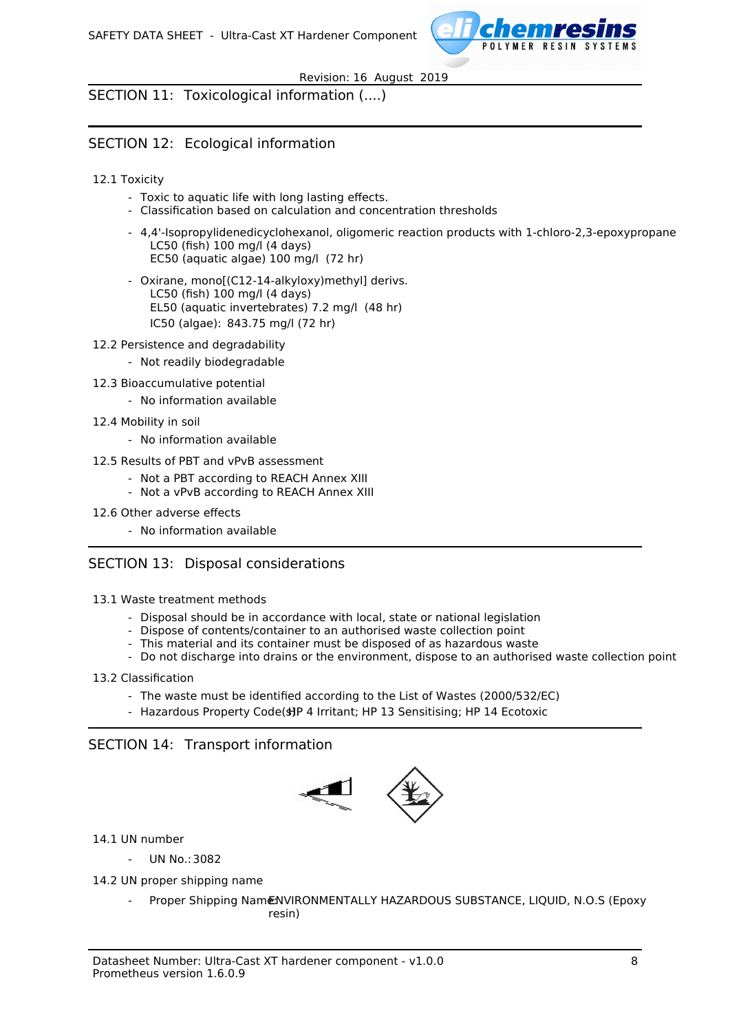

SECTION 11: Toxicological information (....)

# SECTION 12: Ecological information

### 12.1 Toxicity

- Toxic to aquatic life with long lasting effects.
- Classification based on calculation and concentration thresholds
- 4,4'-Isopropylidenedicyclohexanol, oligomeric reaction products with 1-chloro-2,3-epoxypropane LC50 (fish) 100 mg/l (4 days) EC50 (aquatic algae) 100 mg/l (72 hr)
- Oxirane, mono[(C12-14-alkyloxy)methyl] derivs. LC50 (fish) 100 mg/l (4 days) EL50 (aquatic invertebrates) 7.2 mg/l (48 hr) IC50 (algae): 843.75 mg/l (72 hr)
- 12.2 Persistence and degradability
	- Not readily biodegradable
- 12.3 Bioaccumulative potential
	- No information available
- 12.4 Mobility in soil
	- No information available
- 12.5 Results of PBT and vPvB assessment
	- Not a PBT according to REACH Annex XIII
	- Not a vPvB according to REACH Annex XIII
- 12.6 Other adverse effects
	- No information available

## SECTION 13: Disposal considerations

- 13.1 Waste treatment methods
	- Disposal should be in accordance with local, state or national legislation
	- Dispose of contents/container to an authorised waste collection point
	- This material and its container must be disposed of as hazardous waste
	- Do not discharge into drains or the environment, dispose to an authorised waste collection point

#### 13.2 Classification

- The waste must be identified according to the List of Wastes (2000/532/EC)
- Hazardous Property Code(s)P 4 Irritant; HP 13 Sensitising; HP 14 Ecotoxic

## SECTION 14: Transport information



14.1 UN number

- UN No.: 3082
- 14.2 UN proper shipping name
	- Proper Shipping NamENVIRONMENTALLY HAZARDOUS SUBSTANCE, LIQUID, N.O.S (Epoxy resin)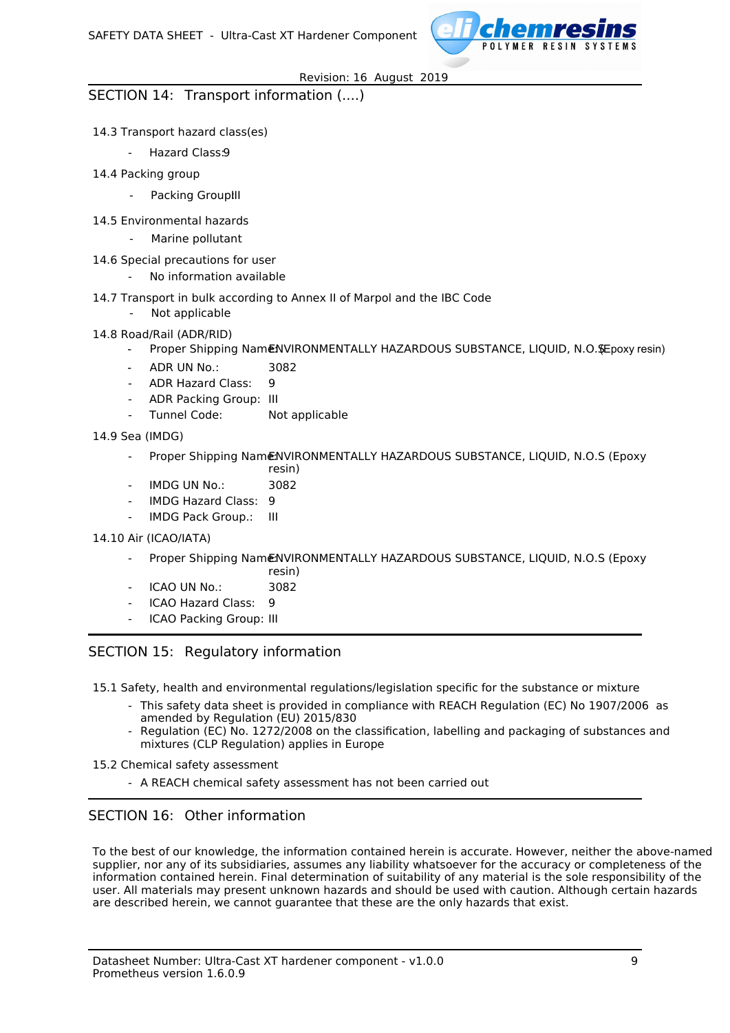

## SECTION 14: Transport information (....)

### 14.3 Transport hazard class(es)

- Hazard Class:9
- 14.4 Packing group
	- Packing Group!II
- 14.5 Environmental hazards
	- Marine pollutant
- 14.6 Special precautions for user
	- No information available
- 14.7 Transport in bulk according to Annex II of Marpol and the IBC Code
	- Not applicable

### 14.8 Road/Rail (ADR/RID)

- Proper Shipping NamENVIRONMENTALLY HAZARDOUS SUBSTANCE, LIQUID, N.O. SEpoxy resin)
- ADR UN No.: 3082
- ADR Hazard Class: 9
- ADR Packing Group: III
- Tunnel Code: Not applicable
- 14.9 Sea (IMDG)
	- Proper Shipping Name:NVIRONMENTALLY HAZARDOUS SUBSTANCE, LIQUID, N.O.S (Epoxy) resin)
	- IMDG UN No.: 3082
	- IMDG Hazard Class: 9
	- IMDG Pack Group.: III

#### 14.10 Air (ICAO/IATA)

- Proper Shipping NameNVIRONMENTALLY HAZARDOUS SUBSTANCE, LIOUID, N.O.S (Epoxy)
- resin)
- $ICAO IIN NO: 3082$
- ICAO Hazard Class: 9
- ICAO Packing Group: III

## SECTION 15: Regulatory information

15.1 Safety, health and environmental regulations/legislation specific for the substance or mixture

- This safety data sheet is provided in compliance with REACH Regulation (EC) No 1907/2006 as amended by Regulation (EU) 2015/830
- Regulation (EC) No. 1272/2008 on the classification, labelling and packaging of substances and mixtures (CLP Regulation) applies in Europe
- 15.2 Chemical safety assessment
	- A REACH chemical safety assessment has not been carried out

## SECTION 16: Other information

To the best of our knowledge, the information contained herein is accurate. However, neither the above-named supplier, nor any of its subsidiaries, assumes any liability whatsoever for the accuracy or completeness of the information contained herein. Final determination of suitability of any material is the sole responsibility of the user. All materials may present unknown hazards and should be used with caution. Although certain hazards are described herein, we cannot guarantee that these are the only hazards that exist.